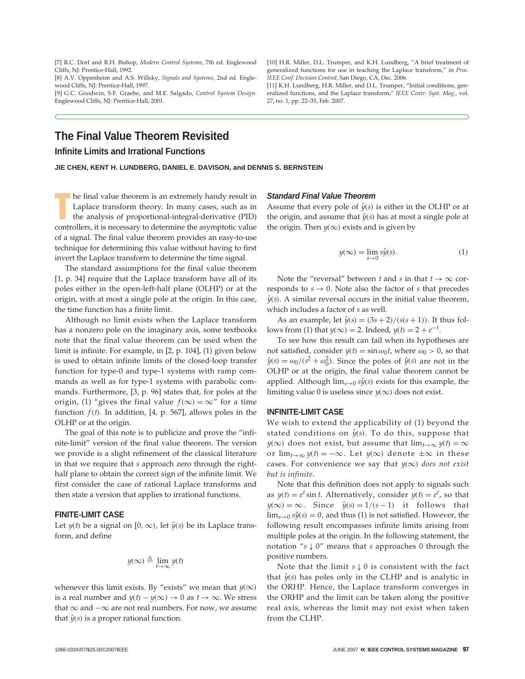[7] R.C. Dorf and R.H. Bishop, *Modern Control Systems*, 7th ed. Englewood Cliffs, NJ: Prentice-Hall, 1992.

[8] A.V. Oppenheim and A.S. Willsky, *Signals and Systems*, 2nd ed. Englewood Cliffs, NJ: Prentice-Hall, 1997.

[9] G.C. Goodwin, S.F. Graebe, and M.E. Salgado, *Control System Design*. Englewood Cliffs, NJ: Prentice-Hall, 2001.

# **The Final Value Theorem Revisited**

## **Infinite Limits and Irrational Functions**

**JIE CHEN, KENT H. LUNDBERG, DANIEL E. DAVISON, and DENNIS S. BERNSTEIN**

**THE TERN INTER THE CONTROVER THE CONTROLLERS IN THE ANDERED CONTROLLERS, it is necessary to determine the asymptotic value** he final value theorem is an extremely handy result in Laplace transform theory. In many cases, such as in the analysis of proportional-integral-derivative (PID) of a signal. The final value theorem provides an easy-to-use technique for determining this value without having to first invert the Laplace transform to determine the time signal.

The standard assumptions for the final value theorem [1, p. 34] require that the Laplace transform have all of its poles either in the open-left-half plane (OLHP) or at the origin, with at most a single pole at the origin. In this case, the time function has a finite limit.

Although no limit exists when the Laplace transform has a nonzero pole on the imaginary axis, some textbooks note that the final value theorem can be used when the limit is infinite. For example, in [2, p. 104], (1) given below is used to obtain infinite limits of the closed-loop transfer function for type-0 and type-1 systems with ramp commands as well as for type-1 systems with parabolic commands. Furthermore, [3, p. 96] states that, for poles at the origin, (1) "gives the final value  $f(\infty) = \infty$ " for a time function  $f(t)$ . In addition, [4, p. 567], allows poles in the OLHP or at the origin.

The goal of this note is to publicize and prove the "infinite-limit" version of the final value theorem. The version we provide is a slight refinement of the classical literature in that we require that *s* approach zero through the righthalf plane to obtain the correct sign of the infinite limit. We first consider the case of rational Laplace transforms and then state a version that applies to irrational functions.

### **FINITE-LIMIT CASE**

Let  $y(t)$  be a signal on [0, ∞), let  $\hat{y}(s)$  be its Laplace transform, and define

$$
y(\infty) \triangleq \lim_{t \to \infty} y(t)
$$

whenever this limit exists. By "exists" we mean that  $y(\infty)$ is a real number and  $y(t) - y(\infty) \to 0$  as  $t \to \infty$ . We stress that  $\infty$  and  $-\infty$  are not real numbers. For now, we assume that  $\hat{y}(s)$  is a proper rational function.

#### *Standard Final Value Theorem*

27, no. 1, pp. 22–35, Feb. 2007.

Assume that every pole of  $\hat{y}(s)$  is either in the OLHP or at the origin, and assume that  $\hat{y}(s)$  has at most a single pole at the origin. Then  $y(\infty)$  exists and is given by

[10] H.R. Miller, D.L. Trumper, and K.H. Lundberg, "A brief treatment of generalized functions for use in teaching the Laplace transform," in *Proc.*

[11] K.H. Lundberg, H.R. Miller, and D.L. Trumper, "Initial conditions, generalized functions, and the Laplace transform," *IEEE Contr. Syst. Mag.*, vol.

*IEEE Conf. Decision Control*, San Diego, CA, Dec. 2006.

$$
y(\infty) = \lim_{s \to 0} s\hat{y}(s).
$$
 (1)

Note the "reversal" between *t* and *s* in that  $t \to \infty$  corresponds to  $s \to 0$ . Note also the factor of *s* that precedes  $\hat{y}(s)$ . A similar reversal occurs in the initial value theorem, which includes a factor of *s* as well.

As an example, let  $\hat{y}(s) = (3s + 2)/(s(s + 1))$ . It thus follows from (1) that *y*( $\infty$ ) = 2. Indeed, *y*(*t*) = 2 +  $e^{-t}$ .

To see how this result can fail when its hypotheses are not satisfied, consider  $y(t) = \sin \omega_0 t$ , where  $\omega_0 > 0$ , so that  $\hat{y}(s) = \omega_0/(s^2 + \omega_0^2)$ . Since the poles of  $\hat{y}(s)$  are not in the OLHP or at the origin, the final value theorem cannot be applied. Although  $\lim_{s\to 0} s\hat{y}(s)$  exists for this example, the limiting value 0 is useless since  $y(\infty)$  does not exist.

#### **INFINITE-LIMIT CASE**

We wish to extend the applicability of (1) beyond the stated conditions on  $\hat{y}(s)$ . To do this, suppose that *y*(∞) does not exist, but assume that  $\lim_{t\to\infty}$  *y*(*t*) = ∞ or  $\lim_{t\to\infty}$   $y(t) = -\infty$ . Let  $y(\infty)$  denote  $\pm\infty$  in these cases. For convenience we say that  $y(\infty)$  does not exist *but is infinite*.

Note that this definition does not apply to signals such as  $y(t) = e^t \sin t$ . Alternatively, consider  $y(t) = e^t$ , so that  $y(\infty) = \infty$ . Since  $\hat{y}(s) = 1/(s-1)$  it follows that  $\lim_{s\to 0} s\hat{y}(s) = 0$ , and thus (1) is not satisfied. However, the following result encompasses infinite limits arising from multiple poles at the origin. In the following statement, the notation "*s* ↓ 0" means that *s* approaches 0 through the positive numbers.

Note that the limit *s* ↓ 0 is consistent with the fact that  $\hat{y}(s)$  has poles only in the CLHP and is analytic in the ORHP. Hence, the Laplace transform converges in the ORHP and the limit can be taken along the positive real axis, whereas the limit may not exist when taken from the CLHP.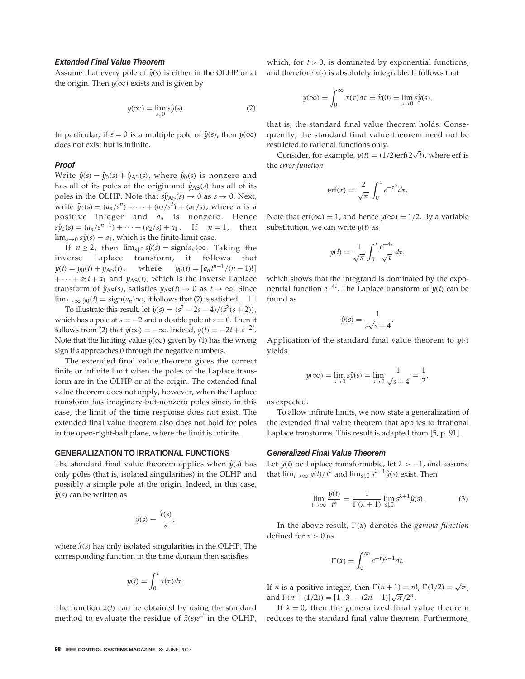## *Extended Final Value Theorem*

Assume that every pole of  $\hat{y}(s)$  is either in the OLHP or at the origin. Then  $y(\infty)$  exists and is given by

$$
y(\infty) = \lim_{s \downarrow 0} s\hat{y}(s).
$$
 (2)

In particular, if *s* = 0 is a multiple pole of  $\hat{y}(s)$ , then  $y(\infty)$ does not exist but is infinite.

#### *Proof*

Write  $\hat{y}(s) = \hat{y}_0(s) + \hat{y}_{AS}(s)$ , where  $\hat{y}_0(s)$  is nonzero and has all of its poles at the origin and  $\hat{y}_{AS}(s)$  has all of its poles in the OLHP. Note that  $s\hat{y}_{AS}(s) \rightarrow 0$  as  $s \rightarrow 0$ . Next, write  $\hat{y}_0(s) = (a_n/s^n) + \cdots + (a_2/s^2) + (a_1/s)$ , where *n* is a positive integer and *an* is nonzero. Hence  $s\hat{y}_0(s) = (a_n/s^{n-1}) + \cdots + (a_2/s) + a_1$ . If  $n = 1$ , then  $\lim_{s\to 0} s\hat{y}(s) = a_1$ , which is the finite-limit case.

If  $n \ge 2$ , then  $\lim_{s \downarrow 0} s\hat{y}(s) = sign(a_n) \infty$ . Taking the inverse Laplace transform, it follows that  $y(t) = y_0(t) + y_{AS}(t)$ , where  $y_0(t) = [a_n t^{n-1}/(n-1)!]$  $+ \cdots + a_2 t + a_1$  and  $y_{AS}(t)$ , which is the inverse Laplace transform of  $\hat{y}_{AS}(s)$ , satisfies  $y_{AS}(t) \rightarrow 0$  as  $t \rightarrow \infty$ . Since lim<sub>*t*→∞</sub>  $y_0(t) = sign(a_n) \infty$ , it follows that (2) is satisfied.  $\Box$ 

To illustrate this result, let  $\hat{y}(s) = (s^2 - 2s - 4)/(s^2(s + 2))$ , which has a pole at  $s = -2$  and a double pole at  $s = 0$ . Then it follows from (2) that  $y(\infty) = -\infty$ . Indeed,  $y(t) = -2t + e^{-2t}$ . Note that the limiting value  $y(\infty)$  given by (1) has the wrong sign if *s* approaches 0 through the negative numbers.

The extended final value theorem gives the correct finite or infinite limit when the poles of the Laplace transform are in the OLHP or at the origin. The extended final value theorem does not apply, however, when the Laplace transform has imaginary-but-nonzero poles since, in this case, the limit of the time response does not exist. The extended final value theorem also does not hold for poles in the open-right-half plane, where the limit is infinite.

## **GENERALIZATION TO IRRATIONAL FUNCTIONS**

The standard final value theorem applies when  $\hat{y}(s)$  has only poles (that is, isolated singularities) in the OLHP and possibly a simple pole at the origin. Indeed, in this case,  $\hat{y}(s)$  can be written as

$$
\hat{y}(s) = \frac{\hat{x}(s)}{s},
$$

where  $\hat{x}(s)$  has only isolated singularities in the OLHP. The corresponding function in the time domain then satisfies

$$
y(t) = \int_0^t x(\tau) d\tau.
$$

The function  $x(t)$  can be obtained by using the standard method to evaluate the residue of  $\hat{x}(s)e^{st}$  in the OLHP,

which, for  $t > 0$ , is dominated by exponential functions, and therefore  $x(\cdot)$  is absolutely integrable. It follows that

$$
y(\infty) = \int_0^\infty x(\tau)d\tau = \hat{x}(0) = \lim_{s \to 0} s\hat{y}(s),
$$

that is, the standard final value theorem holds. Consequently, the standard final value theorem need not be restricted to rational functions only.

Consider, for example,  $y(t) = (1/2) \text{erf}(2\sqrt{t})$ , where erf is the *error function*

$$
\operatorname{erf}(x) = \frac{2}{\sqrt{\pi}} \int_0^x e^{-\tau^2} d\tau.
$$

Note that erf( $\infty$ ) = 1, and hence  $y(\infty) = 1/2$ . By a variable substitution, we can write *y*(*t*) as

$$
y(t) = \frac{1}{\sqrt{\pi}} \int_0^t \frac{e^{-4\tau}}{\sqrt{\tau}} d\tau,
$$

which shows that the integrand is dominated by the exponential function *e*−4*<sup>t</sup>* . The Laplace transform of *y*(*t*) can be found as

$$
\hat{y}(s) = \frac{1}{s\sqrt{s+4}}
$$

.

Application of the standard final value theorem to  $\psi(\cdot)$ yields

$$
y(\infty) = \lim_{s \to 0} s\hat{y}(s) = \lim_{s \to 0} \frac{1}{\sqrt{s+4}} = \frac{1}{2},
$$

as expected.

To allow infinite limits, we now state a generalization of the extended final value theorem that applies to irrational Laplace transforms. This result is adapted from [5, p. 91].

### *Generalized Final Value Theorem*

Let  $y(t)$  be Laplace transformable, let  $\lambda > -1$ , and assume that  $\lim_{t\to\infty} y(t)/t^{\lambda}$  and  $\lim_{s\downarrow 0} s^{\lambda+1}\hat{y}(s)$  exist. Then

$$
\lim_{t \to \infty} \frac{y(t)}{t^{\lambda}} = \frac{1}{\Gamma(\lambda + 1)} \lim_{s \downarrow 0} s^{\lambda + 1} \hat{y}(s).
$$
 (3)

In the above result,  $\Gamma(x)$  denotes the *gamma function* defined for  $x > 0$  as

$$
\Gamma(x) = \int_0^\infty e^{-t} t^{x-1} dt.
$$

If *n* is a positive integer, then  $\Gamma(n + 1) = n!$ ,  $\Gamma(1/2) = \sqrt{\pi}$ , and  $\Gamma(n + (1/2)) = [1 \cdot 3 \cdots (2n-1)] \sqrt{\pi}/2^n$ .

If  $\lambda = 0$ , then the generalized final value theorem reduces to the standard final value theorem. Furthermore,